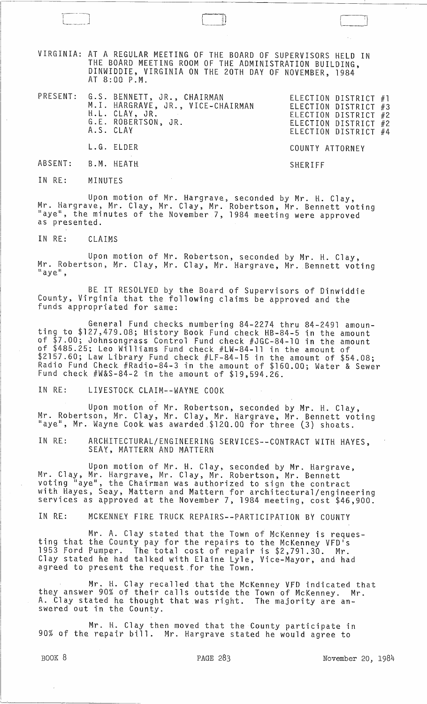VIRGINIA: AT A REGULAR MEETING OF THE BOARD OF SUPERVISORS HELD IN THE BOARD MEETING ROOM OF THE ADMINISTRATION BUILDING, DINWIDDIE, VIRGINIA ON THE 20TH DAY OF NOVEMBER, 1984 AT 8:00 P.M.

PRESENT: G.S. BENNETT, JR., CHAIRMAN M. I. HARGRAVE, JR., VICE-CHAIRMAN H.L. CLAY, JR. G.E. ROBERTSON, JR. A.S. CLAY

| ELECTION DISTRICT #1 |  |
|----------------------|--|
| ELECTION DISTRICT #3 |  |
| ELECTION DISTRICT #2 |  |
| ELECTION DISTRICT #2 |  |
| ELECTION DISTRICT #4 |  |
|                      |  |

COUNTY ATTORNEY

SHERIFF

l\_~ .~J

IN RE: MINUTES

L.G. ELDER

B.M. HEATH

ABSENT:

Upon motion of Mr. Hargrave, seconded by Mr. H. Clay, Mr. Hargrave, Mr. Clay, Mr. Clay, Mr. Robertson, Mr. Bennett voting "aye", the minutes of the November 7, 1984 meeting were approved as presented.

IN RE: CLAIMS

Upon motion of Mr. Robertson, seconded by Mr. H. Clay, Mr. Robertson, Mr. Clay, Mr. Clay, Mr. Hargrave, Mr. Bennett voting<br>"aye",

BE IT RESOLVED by the Board of Supervisors of Dinwiddie County, Virginia that the following claims be approved and the funds appropriated for same:

General Fund checks numbering 84-2274 thru 84-2491 amounting to \$127,479.08; History Book Fund check HB-84-5 in the amount of \$7.00; Johnsongrass Control Fund check #JGC-84-10 in the amount of \$485.25; Leo Williams Fund check #LW-84-11 in the amount of \$2157.60; Law Library Fund check #LF-84-15 in the amount of \$54.08; Radio Fund Check #Radio-84-3 in the amount of \$160.00; Water & Sewer Fund check #W&S-84-2 in the amount of \$19,594.26.

IN RE: LIVESTOCK CLAIM--WAYNE COOK

Upon motion of Mr. Robertson, seconded by Mr. H. Clay, Mr. Robertson, Mr. Clay, Mr. Clay, Mr. Hargrave, Mr. Bennett voting "aye", Mr. Wayne Cook was awarded \$120.00 for three (3) shoats.

IN RE: ARCHITECTURAL/ENGINEERING SERVICES--CONTRACT WITH HAYES, SEAY, MATTERN AND MATTERN

Upon motion of Mr. H. Clay, seconded by Mr. Hargrave, Mr. Clay, Mr. Hargrave, Mr. Clay, Mr. Robertson, Mr. Bennett voting "aye", the Chairman was authorized to sign the contract with Hayes, Seay, Mattern and Mattern for architectural/engineering services as approved at the November 7, 1984 meeting, cost \$46,900.

IN RE: MCKENNEY FIRE TRUCK REPAIRS--PARTICIPATION BY COUNTY

Mr. A. Clay stated that the Town of McKenney is requesting that the County pay for the repairs to the McKenney VFD's 1953 Ford Pumper. The total cost of repair is \$2,791.30. Mr. Clay stated he had talked with Elaine Lyle, Vice-Mayor, and had agreed to present the request for the Town.

Mr. H. Clay recalled that the McKenney VFD indicated that they answer 90% of their calls outside the Town of McKenney. Mr. A. tlay stated he thought that was right. The majority are answered'out in the County.

Mr. H. Clay then moved that the County participate in 90% of the repair bill. Mr. Hargrave stated he would agree to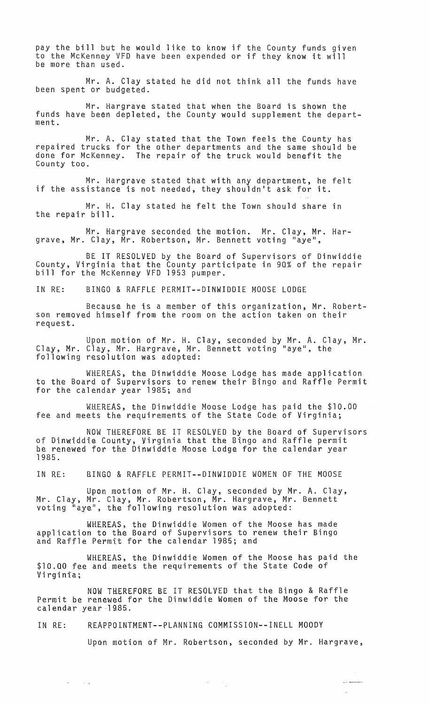pay the bill but he would like to know if the County funds given pay the Biri but he would like to know it the county funds give<br>to the McKenney VFD have been expended or if they know it will be more than used.

Mr. A. Clay stated he did not think all the funds have been spent or budgeted.

Mr. Hargrave stated that when the Board is shown the funds have been depleted, the County would supplement the department.

Mr. A. Clay stated that the Town feels the County has repaired trucks for the other departments and the same should be done for McKenney. The repair of the truck would benefit the County too.

Mr. Hargrave stated that with any department, he felt if the assistance is not needed, they shouldn't ask for it.

Mr. H. Clay stated he felt the Town should share in the repair bill.

Mr. Hargrave seconded the motion. Mr. Clay, Mr. Hargrave, Mr. Clay, Mr. Robertson, Mr. Bennett voting "aye",

BE IT RESOLVED by the Board of Supervisors of Dinwiddie County, Virginia that the County participate in 90% of the repair bill for the McKenney VFD 1953 pumper.

IN RE: BINGO & RAFFLE PERMIT--DINWIDDIE MOOSE LODGE

Because he is a member of this organization, Mr. Robertson removed himself from the room on the action taken on their request.

Upon motion of Mr. H. Clay, seconded by Mr. A. Clay, Mr. Clay, Mr. Clay, Mr. Hargrave, Mr. Bennett voting "aye", the following resolution was adopted:

WHEREAS, the Dinwiddie Moose Lodge has made application to the Board of Supervisors to renew their Bingo and Raffle Permit for the calendar year 1985; and

WHEREAS, the Dinwiddie Moose Lodge has paid the \$10.00 fee and meets the requirements of the State Code of Virginia;

NOW THEREFORE BE IT RESOLVED by the Board of Supervisors of Dinwiddie County, Virginia that the Bingo and Raffle permit be renewed for the Dinwiddie Moose Lodge for the calendar year 1985.

IN RE: BINGO & RAFFLE PERMIT--DINWIDDIE WOMEN OF THE MOOSE

Upon motion of Mr. H. Clay, seconded by Mr. A. Clay, Mr. Clay, Mr. Clay, Mr. Robertson, Mr. Hargrave, Mr. Bennett voting "aye", the following resolution was adopted:

WHEREAS, the Dinwiddie Women of the Moose has made application to the Board of Supervisors to renew their Bingo and Raffle Permit for the calendar 1985; and

WHEREAS, the Dinwiddie Women of the Moose has paid the \$10.00 fee and meets the requirements of the State Code of Virginia;

NOW THEREFORE BE IT RESOLVED that the Bingo & Raffle Permit be renewed for the Dinwiddie Women of the Moose for the calendar year 1985.

IN RE: REAPPOINTMENT--PLANNING COMMISSION--INELL MOODY

 $\omega_{\rm{max}}$ 

 $\sim 10^{11}$  erg  $^{-1}$ 

Upon motion of Mr. Robertson, seconded by Mr. Hargrave,

 $\label{eq:2.1} \frac{1}{2} \frac{1}{2} \frac{1}{2} \left( \frac{1}{2} \frac{1}{2} \right) \left( \frac{1}{2} \frac{1}{2} \right)$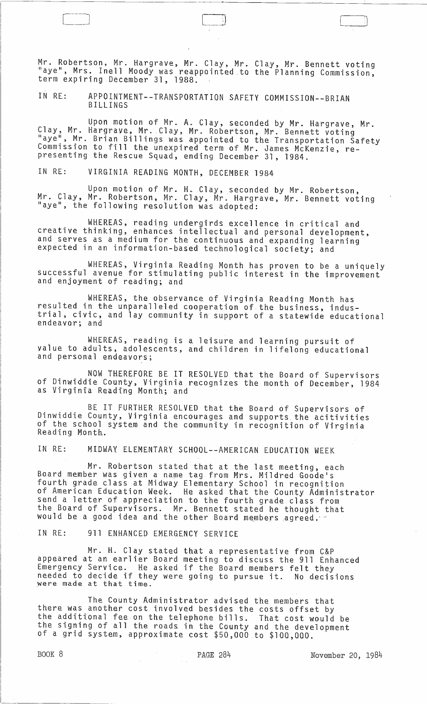Mr. Robertson, Mr. Hargrave, Mr. Clay, Mr. Clay, Mr. Bennett voting "aye", Mrs. Inell Moody was reappointed to the Planning Commission, term expiring December 31, 1988.

IN RE:. APPOINTMENT--TRANSPORTATION SAFETY COMMISSION--BRIAN BILLINGS

Upon motion of Mr. A. Clay, seconded by Mr. Hargrave, Mr. Clay, Mr. Hargrave, Mr. Clay, Mr. Robertson, Mr. Bennett voting "aye", Mr. Brian Billings was appointed to the Transportation Safety<br>Commission to fill the unexpired term of Mr. James McKenzie, re-Commission to fill the unexpired term of Mr. James McKenzie, re-<br>presenting the Rescue Squad, ending December 31, 1984.

IN RE: VIRGINIA READING MONTH, DECEMBER 1984

Upon motion of Mr. H. Clay, seconded by Mr. Robertson, Mr. Clay, Mr. Robertson, Mr. Clay, Mr. Hargrave, Mr. Bennett voting<br>"aye", the following resolution was adopted: "aye", the following resolution was adopted:

WHEREAS, reading undergirds excellence in critical and creative thinking, enhances intellectual and personal development, and serves as a medium for the continuous and expanding learning expected in an information-based technological society; and

WHEREAS, Virginia Reading Month has proven to be a uniquely successful avenue for stimulating public interest in the improvement and enjoyment of reading; and

WHEREAS, the observance of Virginia Reading Month has resulted in the unparalleled cooperation of the business, industrial, civic, and lay community in support of a statewide educational endeavor; and

WHEREAS, reading is a leisure and learning pursuit of value to adults, adolescents, and children in lifelong educational and personal endeavors;

NOW THEREFORE BE IT RESOLVED that the Board of Supervisors of Dinwiddie County, Virginia recognizes the month of December, 1984 as Virginia Reading Month; and

BE IT FURTHER RESOLVED that the Board of Supervisors of Dinwiddie County, Virginia encourages and supports the acitivities of the school system and the community in recognition of Virginia<br>Reading Month.

IN RE: MIDWAY ELEMENTARY SCHOOL--AMERICAN EDUCATION WEEK

Mr. Robertson stated that at the last meeting, each Board member was given a name tag from Mrs. Mildred Goode's fourth grade class at Midway Elementary School in recognition of American Education Week. He asked that the County Administrator send a letter of appreciation to the fourth grade class from the Board of Supervisors. Mr. Bennett stated he thought that would be a good idea and the other Board members agreed.  $\cdot$ 

IN RE: 911 ENHANCED EMERGENCY SERVICE

Mr. H. Clay stated that a representative from C&P appeared at an earlier Board meeting to discuss the 911 Enhanced Emergency Service. He asked if the Board members felt they needed to decide if they were going to pursue it. No decisions were made at that time.

The County Administrator advised the members that there was another cost involved besides the costs offset by the additional fee on the telephone bills. That cost would be the signing of all the roads in the County and the development<br>of a grid system, approximate cost \$50,000 to \$100,000.